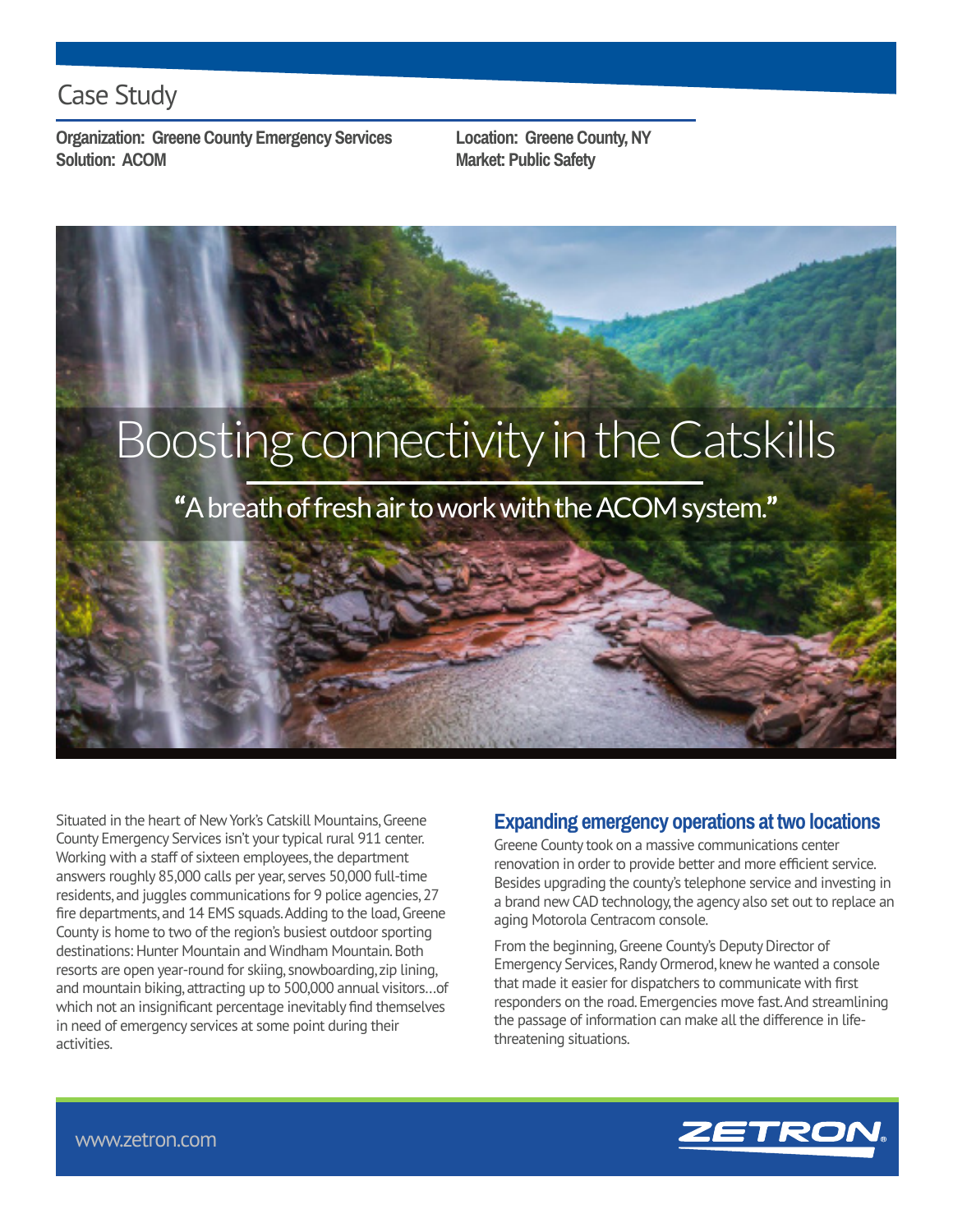## Case Study

**Organization: Greene County Emergency Services Location: Greene County, NY Solution: ACOM Market: Public Safety** 



Situated in the heart of New York's Catskill Mountains, Greene County Emergency Services isn't your typical rural 911 center. Working with a staff of sixteen employees, the department answers roughly 85,000 calls per year, serves 50,000 full-time residents, and juggles communications for 9 police agencies, 27 fire departments, and 14 EMS squads. Adding to the load, Greene County is home to two of the region's busiest outdoor sporting destinations: Hunter Mountain and Windham Mountain. Both resorts are open year-round for skiing, snowboarding, zip lining, and mountain biking, attracting up to 500,000 annual visitors…of which not an insignificant percentage inevitably find themselves in need of emergency services at some point during their activities.

### **Expanding emergency operations at two locations**

Greene County took on a massive communications center renovation in order to provide better and more efficient service. Besides upgrading the county's telephone service and investing in a brand new CAD technology, the agency also set out to replace an aging Motorola Centracom console.

From the beginning, Greene County's Deputy Director of Emergency Services, Randy Ormerod, knew he wanted a console that made it easier for dispatchers to communicate with first responders on the road. Emergencies move fast. And streamlining the passage of information can make all the difference in lifethreatening situations.